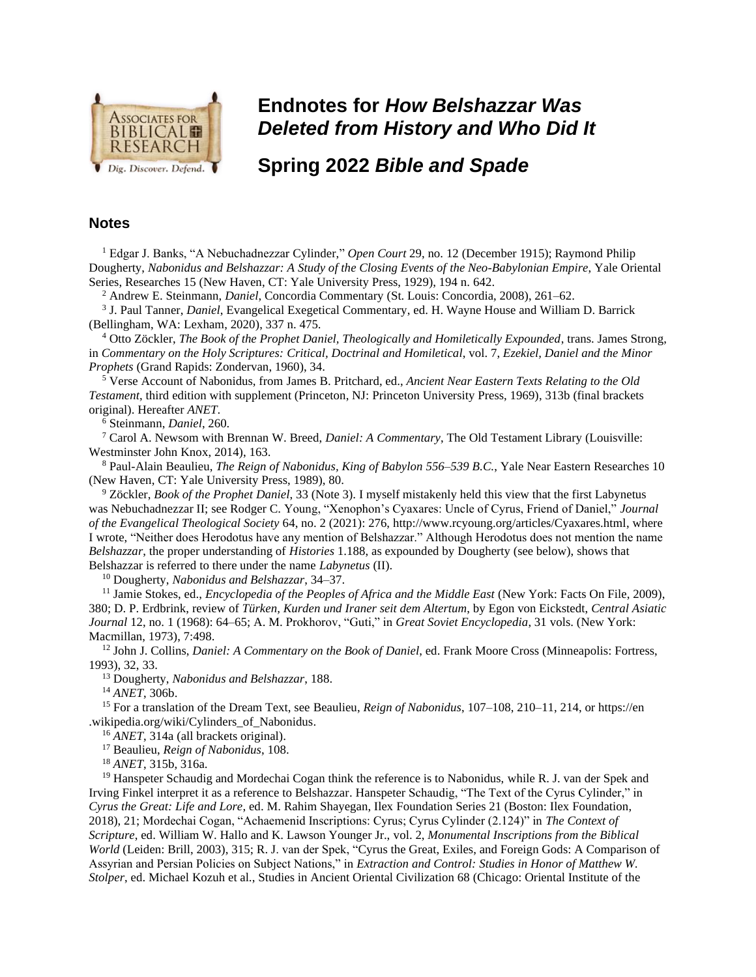

## **Endnotes for** *How Belshazzar Was Deleted from History and Who Did It*

**Spring 2022** *Bible and Spade* 

## **Notes**

<sup>1</sup> Edgar J. Banks, "A Nebuchadnezzar Cylinder," *Open Court* 29, no. 12 (December 1915); Raymond Philip Dougherty, *Nabonidus and Belshazzar: A Study of the Closing Events of the Neo-Babylonian Empire*, Yale Oriental Series, Researches 15 (New Haven, CT: Yale University Press, 1929), 194 n. 642.

<sup>2</sup> Andrew E. Steinmann, *Daniel*, Concordia Commentary (St. Louis: Concordia, 2008), 261–62.

3 J. Paul Tanner, *Daniel*, Evangelical Exegetical Commentary, ed. H. Wayne House and William D. Barrick (Bellingham, WA: Lexham, 2020), 337 n. 475.

<sup>4</sup> Otto Zöckler, *The Book of the Prophet Daniel, Theologically and Homiletically Expounded*, trans. James Strong, in *Commentary on the Holy Scriptures: Critical, Doctrinal and Homiletical*, vol. 7, *Ezekiel, Daniel and the Minor Prophets* (Grand Rapids: Zondervan, 1960), 34.

<sup>5</sup> Verse Account of Nabonidus, from James B. Pritchard, ed., *Ancient Near Eastern Texts Relating to the Old Testament*, third edition with supplement (Princeton, NJ: Princeton University Press, 1969), 313b (final brackets original). Hereafter *ANET*.

<sup>6</sup> Steinmann, *Daniel*, 260.

<sup>7</sup> Carol A. Newsom with Brennan W. Breed, *Daniel: A Commentary*, The Old Testament Library (Louisville: Westminster John Knox, 2014), 163.

<sup>8</sup> Paul-Alain Beaulieu, *The Reign of Nabonidus, King of Babylon 556–539 B.C.*, Yale Near Eastern Researches 10 (New Haven, CT: Yale University Press, 1989), 80.

<sup>9</sup> Zöckler, *Book of the Prophet Daniel*, 33 (Note 3). I myself mistakenly held this view that the first Labynetus was Nebuchadnezzar II; see Rodger C. Young, "Xenophon's Cyaxares: Uncle of Cyrus, Friend of Daniel," *Journal of the Evangelical Theological Society* 64, no. 2 (2021): 276, http://www.rcyoung.org/articles/Cyaxares.html, where I wrote, "Neither does Herodotus have any mention of Belshazzar." Although Herodotus does not mention the name *Belshazzar*, the proper understanding of *Histories* 1.188, as expounded by Dougherty (see below), shows that Belshazzar is referred to there under the name *Labynetus* (II).

<sup>10</sup> Dougherty, *Nabonidus and Belshazzar*, 34–37.

<sup>11</sup> Jamie Stokes, ed., *Encyclopedia of the Peoples of Africa and the Middle East* (New York: Facts On File, 2009), 380; D. P. Erdbrink, review of *Türken, Kurden und Iraner seit dem Altertum*, by Egon von Eickstedt, *Central Asiatic Journal* 12, no. 1 (1968): 64–65; A. M. Prokhorov, "Guti," in *Great Soviet Encyclopedia*, 31 vols. (New York: Macmillan, 1973), 7:498.

<sup>12</sup> John J. Collins, *Daniel: A Commentary on the Book of Daniel*, ed. Frank Moore Cross (Minneapolis: Fortress, 1993), 32, 33.

<sup>13</sup> Dougherty, *Nabonidus and Belshazzar*, 188.

<sup>14</sup> *ANET*, 306b.

<sup>15</sup> For a translation of the Dream Text, see Beaulieu, *Reign of Nabonidus*, 107–108, 210–11, 214, or https://en .wikipedia.org/wiki/Cylinders\_of\_Nabonidus.

<sup>16</sup> *ANET*, 314a (all brackets original).

<sup>17</sup> Beaulieu, *Reign of Nabonidus*, 108.

<sup>18</sup> *ANET*, 315b, 316a.

<sup>19</sup> Hanspeter Schaudig and Mordechai Cogan think the reference is to Nabonidus, while R. J. van der Spek and Irving Finkel interpret it as a reference to Belshazzar. Hanspeter Schaudig, "The Text of the Cyrus Cylinder," in *Cyrus the Great: Life and Lore*, ed. M. Rahim Shayegan, Ilex Foundation Series 21 (Boston: Ilex Foundation, 2018), 21; Mordechai Cogan, "Achaemenid Inscriptions: Cyrus; Cyrus Cylinder (2.124)" in *The Context of Scripture*, ed. William W. Hallo and K. Lawson Younger Jr., vol. 2, *Monumental Inscriptions from the Biblical World* (Leiden: Brill, 2003), 315; R. J. van der Spek, "Cyrus the Great, Exiles, and Foreign Gods: A Comparison of Assyrian and Persian Policies on Subject Nations," in *Extraction and Control: Studies in Honor of Matthew W. Stolper*, ed. Michael Kozuh et al., Studies in Ancient Oriental Civilization 68 (Chicago: Oriental Institute of the